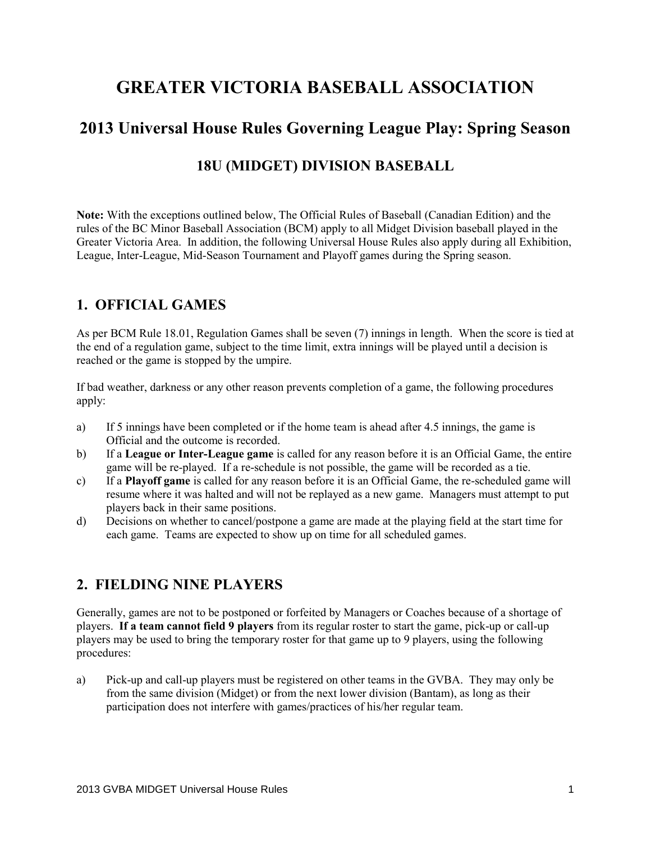# **GREATER VICTORIA BASEBALL ASSOCIATION**

# **2013 Universal House Rules Governing League Play: Spring Season**

# **18U (MIDGET) DIVISION BASEBALL**

**Note:** With the exceptions outlined below, The Official Rules of Baseball (Canadian Edition) and the rules of the BC Minor Baseball Association (BCM) apply to all Midget Division baseball played in the Greater Victoria Area. In addition, the following Universal House Rules also apply during all Exhibition, League, Inter-League, Mid-Season Tournament and Playoff games during the Spring season.

### **1. OFFICIAL GAMES**

As per BCM Rule 18.01, Regulation Games shall be seven (7) innings in length. When the score is tied at the end of a regulation game, subject to the time limit, extra innings will be played until a decision is reached or the game is stopped by the umpire.

If bad weather, darkness or any other reason prevents completion of a game, the following procedures apply:

- a) If 5 innings have been completed or if the home team is ahead after 4.5 innings, the game is Official and the outcome is recorded.
- b) If a **League or Inter-League game** is called for any reason before it is an Official Game, the entire game will be re-played. If a re-schedule is not possible, the game will be recorded as a tie.
- c) If a **Playoff game** is called for any reason before it is an Official Game, the re-scheduled game will resume where it was halted and will not be replayed as a new game. Managers must attempt to put players back in their same positions.
- d) Decisions on whether to cancel/postpone a game are made at the playing field at the start time for each game. Teams are expected to show up on time for all scheduled games.

### **2. FIELDING NINE PLAYERS**

Generally, games are not to be postponed or forfeited by Managers or Coaches because of a shortage of players. **If a team cannot field 9 players** from its regular roster to start the game, pick-up or call-up players may be used to bring the temporary roster for that game up to 9 players, using the following procedures:

a) Pick-up and call-up players must be registered on other teams in the GVBA. They may only be from the same division (Midget) or from the next lower division (Bantam), as long as their participation does not interfere with games/practices of his/her regular team.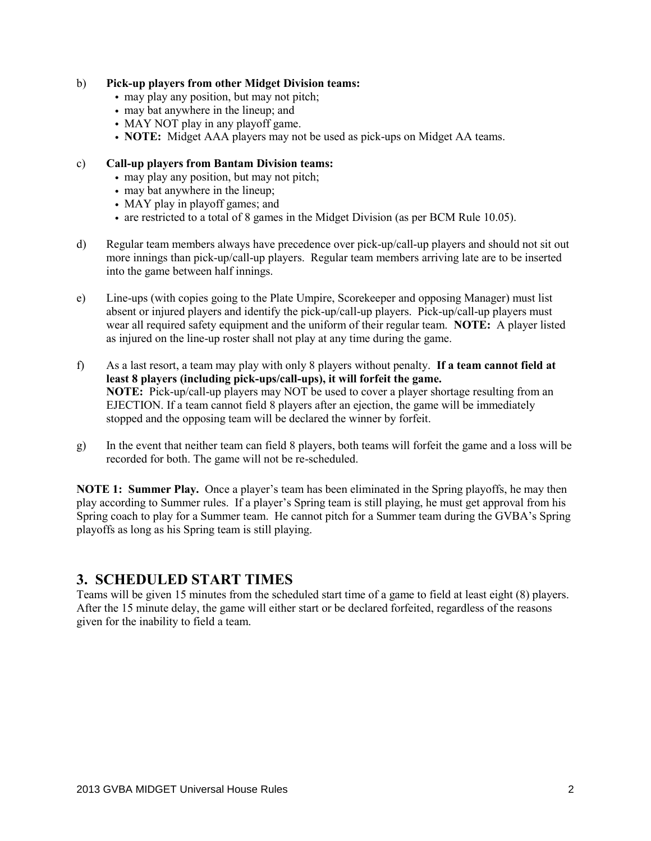#### b) **Pick-up players from other Midget Division teams:**

- may play any position, but may not pitch;
- may bat anywhere in the lineup; and
- MAY NOT play in any playoff game.
- **NOTE:** Midget AAA players may not be used as pick-ups on Midget AA teams.

#### c) **Call-up players from Bantam Division teams:**

- may play any position, but may not pitch;
- may bat anywhere in the lineup;
- MAY play in playoff games; and
- are restricted to a total of 8 games in the Midget Division (as per BCM Rule 10.05).
- d) Regular team members always have precedence over pick-up/call-up players and should not sit out more innings than pick-up/call-up players. Regular team members arriving late are to be inserted into the game between half innings.
- e) Line-ups (with copies going to the Plate Umpire, Scorekeeper and opposing Manager) must list absent or injured players and identify the pick-up/call-up players. Pick-up/call-up players must wear all required safety equipment and the uniform of their regular team. **NOTE:** A player listed as injured on the line-up roster shall not play at any time during the game.
- f) As a last resort, a team may play with only 8 players without penalty. **If a team cannot field at least 8 players (including pick-ups/call-ups), it will forfeit the game. NOTE:** Pick-up/call-up players may NOT be used to cover a player shortage resulting from an EJECTION. If a team cannot field 8 players after an ejection, the game will be immediately stopped and the opposing team will be declared the winner by forfeit.
- g) In the event that neither team can field 8 players, both teams will forfeit the game and a loss will be recorded for both. The game will not be re-scheduled.

**NOTE 1: Summer Play.** Once a player's team has been eliminated in the Spring playoffs, he may then play according to Summer rules. If a player's Spring team is still playing, he must get approval from his Spring coach to play for a Summer team. He cannot pitch for a Summer team during the GVBA's Spring playoffs as long as his Spring team is still playing.

### **3. SCHEDULED START TIMES**

Teams will be given 15 minutes from the scheduled start time of a game to field at least eight (8) players. After the 15 minute delay, the game will either start or be declared forfeited, regardless of the reasons given for the inability to field a team.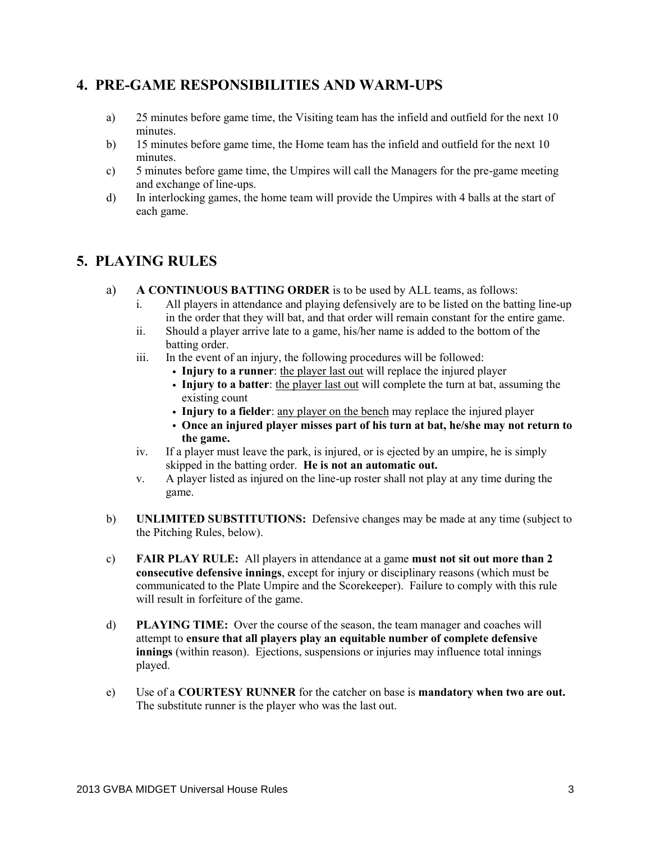### **4. PRE-GAME RESPONSIBILITIES AND WARM-UPS**

- a) 25 minutes before game time, the Visiting team has the infield and outfield for the next 10 minutes.
- b) 15 minutes before game time, the Home team has the infield and outfield for the next 10 minutes.
- c) 5 minutes before game time, the Umpires will call the Managers for the pre-game meeting and exchange of line-ups.
- d) In interlocking games, the home team will provide the Umpires with 4 balls at the start of each game.

### **5. PLAYING RULES**

- a) **A CONTINUOUS BATTING ORDER** is to be used by ALL teams, as follows:
	- i. All players in attendance and playing defensively are to be listed on the batting line-up in the order that they will bat, and that order will remain constant for the entire game.
	- ii. Should a player arrive late to a game, his/her name is added to the bottom of the batting order.
	- iii. In the event of an injury, the following procedures will be followed:
		- **Injury to a runner**: the player last out will replace the injured player
		- **Injury to a batter**: the player last out will complete the turn at bat, assuming the existing count
		- **Injury to a fielder**: any player on the bench may replace the injured player
		- **Once an injured player misses part of his turn at bat, he/she may not return to the game.**
	- iv. If a player must leave the park, is injured, or is ejected by an umpire, he is simply skipped in the batting order. **He is not an automatic out.**
	- v. A player listed as injured on the line-up roster shall not play at any time during the game.
- b) **UNLIMITED SUBSTITUTIONS:** Defensive changes may be made at any time (subject to the Pitching Rules, below).
- c) **FAIR PLAY RULE:** All players in attendance at a game **must not sit out more than 2 consecutive defensive innings**, except for injury or disciplinary reasons (which must be communicated to the Plate Umpire and the Scorekeeper). Failure to comply with this rule will result in forfeiture of the game.
- d) **PLAYING TIME:** Over the course of the season, the team manager and coaches will attempt to **ensure that all players play an equitable number of complete defensive innings** (within reason). Ejections, suspensions or injuries may influence total innings played.
- e) Use of a **COURTESY RUNNER** for the catcher on base is **mandatory when two are out.** The substitute runner is the player who was the last out.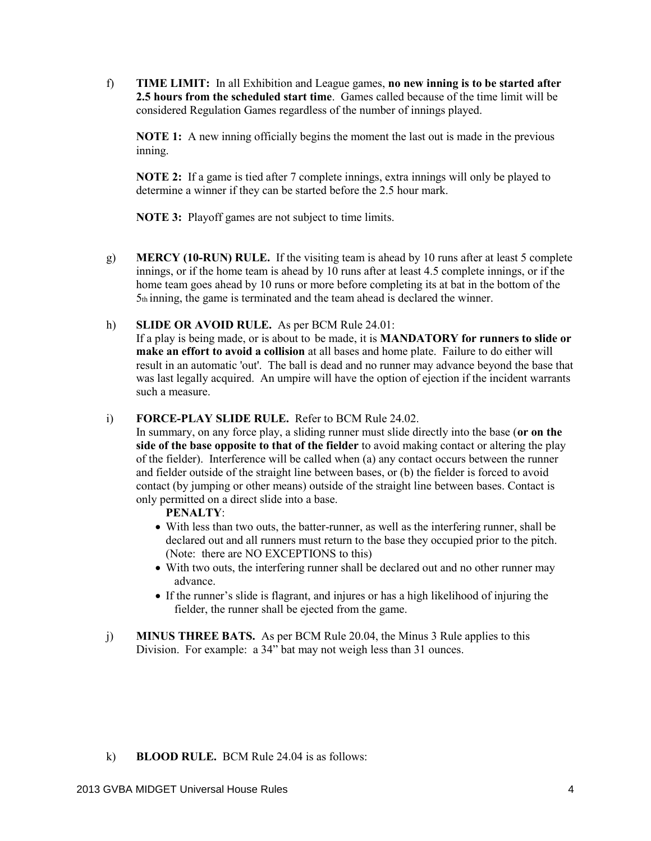f) **TIME LIMIT:** In all Exhibition and League games, **no new inning is to be started after 2.5 hours from the scheduled start time**. Games called because of the time limit will be considered Regulation Games regardless of the number of innings played.

**NOTE 1:** A new inning officially begins the moment the last out is made in the previous inning.

**NOTE 2:** If a game is tied after 7 complete innings, extra innings will only be played to determine a winner if they can be started before the 2.5 hour mark.

**NOTE 3:** Playoff games are not subject to time limits.

g) **MERCY (10-RUN) RULE.** If the visiting team is ahead by 10 runs after at least 5 complete innings, or if the home team is ahead by 10 runs after at least 4.5 complete innings, or if the home team goes ahead by 10 runs or more before completing its at bat in the bottom of the 5th inning, the game is terminated and the team ahead is declared the winner.

#### h) **SLIDE OR AVOID RULE.** As per BCM Rule 24.01:

If a play is being made, or is about to be made, it is **MANDATORY for runners to slide or make an effort to avoid a collision** at all bases and home plate. Failure to do either will result in an automatic 'out'. The ball is dead and no runner may advance beyond the base that was last legally acquired. An umpire will have the option of ejection if the incident warrants such a measure.

#### i) **FORCE-PLAY SLIDE RULE.** Refer to BCM Rule 24.02.

In summary, on any force play, a sliding runner must slide directly into the base (**or on the side of the base opposite to that of the fielder** to avoid making contact or altering the play of the fielder). Interference will be called when (a) any contact occurs between the runner and fielder outside of the straight line between bases, or (b) the fielder is forced to avoid contact (by jumping or other means) outside of the straight line between bases. Contact is only permitted on a direct slide into a base.

#### **PENALTY**:

- With less than two outs, the batter-runner, as well as the interfering runner, shall be declared out and all runners must return to the base they occupied prior to the pitch. (Note: there are NO EXCEPTIONS to this)
- With two outs, the interfering runner shall be declared out and no other runner may advance.
- If the runner's slide is flagrant, and injures or has a high likelihood of injuring the fielder, the runner shall be ejected from the game.
- j) **MINUS THREE BATS.** As per BCM Rule 20.04, the Minus 3 Rule applies to this Division. For example: a 34" bat may not weigh less than 31 ounces.

#### k) **BLOOD RULE.** BCM Rule 24.04 is as follows: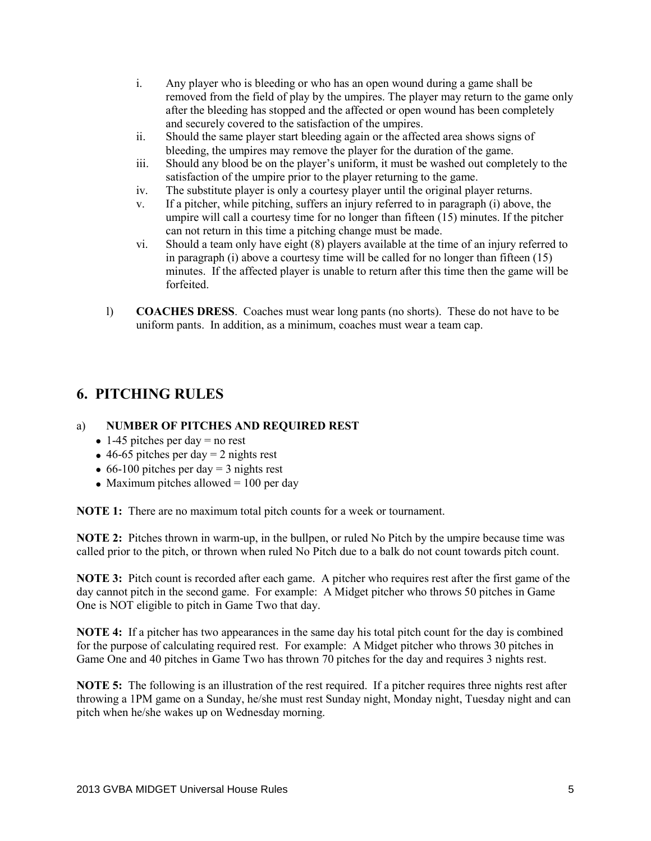- i. Any player who is bleeding or who has an open wound during a game shall be removed from the field of play by the umpires. The player may return to the game only after the bleeding has stopped and the affected or open wound has been completely and securely covered to the satisfaction of the umpires.
- ii. Should the same player start bleeding again or the affected area shows signs of bleeding, the umpires may remove the player for the duration of the game.
- iii. Should any blood be on the player's uniform, it must be washed out completely to the satisfaction of the umpire prior to the player returning to the game.
- iv. The substitute player is only a courtesy player until the original player returns.
- v. If a pitcher, while pitching, suffers an injury referred to in paragraph (i) above, the umpire will call a courtesy time for no longer than fifteen (15) minutes. If the pitcher can not return in this time a pitching change must be made.
- vi. Should a team only have eight (8) players available at the time of an injury referred to in paragraph  $(i)$  above a courtesy time will be called for no longer than fifteen  $(15)$ minutes. If the affected player is unable to return after this time then the game will be forfeited.
- l) **COACHES DRESS**. Coaches must wear long pants (no shorts). These do not have to be uniform pants. In addition, as a minimum, coaches must wear a team cap.

# **6. PITCHING RULES**

#### a) **NUMBER OF PITCHES AND REQUIRED REST**

- $\bullet$  1-45 pitches per day = no rest
- $\bullet$  46-65 pitches per day = 2 nights rest
- $\bullet$  66-100 pitches per day = 3 nights rest
- Maximum pitches allowed  $= 100$  per day

**NOTE 1:** There are no maximum total pitch counts for a week or tournament.

**NOTE 2:** Pitches thrown in warm-up, in the bullpen, or ruled No Pitch by the umpire because time was called prior to the pitch, or thrown when ruled No Pitch due to a balk do not count towards pitch count.

**NOTE 3:** Pitch count is recorded after each game. A pitcher who requires rest after the first game of the day cannot pitch in the second game. For example: A Midget pitcher who throws 50 pitches in Game One is NOT eligible to pitch in Game Two that day.

**NOTE 4:** If a pitcher has two appearances in the same day his total pitch count for the day is combined for the purpose of calculating required rest. For example: A Midget pitcher who throws 30 pitches in Game One and 40 pitches in Game Two has thrown 70 pitches for the day and requires 3 nights rest.

**NOTE 5:** The following is an illustration of the rest required. If a pitcher requires three nights rest after throwing a 1PM game on a Sunday, he/she must rest Sunday night, Monday night, Tuesday night and can pitch when he/she wakes up on Wednesday morning.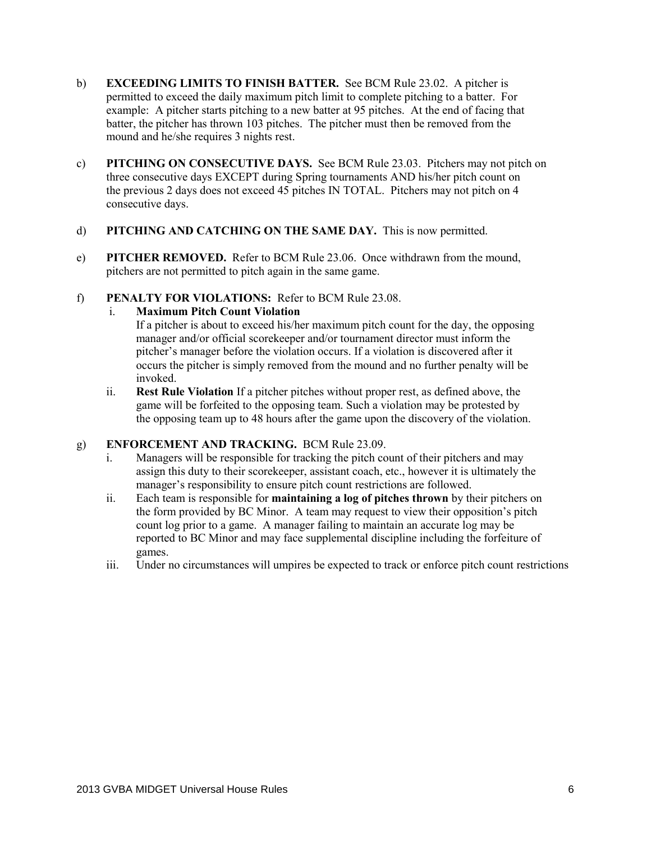- b) **EXCEEDING LIMITS TO FINISH BATTER.** See BCM Rule 23.02. A pitcher is permitted to exceed the daily maximum pitch limit to complete pitching to a batter. For example: A pitcher starts pitching to a new batter at 95 pitches. At the end of facing that batter, the pitcher has thrown 103 pitches. The pitcher must then be removed from the mound and he/she requires 3 nights rest.
- c) **PITCHING ON CONSECUTIVE DAYS.** See BCM Rule 23.03. Pitchers may not pitch on three consecutive days EXCEPT during Spring tournaments AND his/her pitch count on the previous 2 days does not exceed 45 pitches IN TOTAL. Pitchers may not pitch on 4 consecutive days.
- d) **PITCHING AND CATCHING ON THE SAME DAY.** This is now permitted.
- e) **PITCHER REMOVED.** Refer to BCM Rule 23.06. Once withdrawn from the mound, pitchers are not permitted to pitch again in the same game.
- f) **PENALTY FOR VIOLATIONS:** Refer to BCM Rule 23.08.

#### i. **Maximum Pitch Count Violation**

If a pitcher is about to exceed his/her maximum pitch count for the day, the opposing manager and/or official scorekeeper and/or tournament director must inform the pitcher's manager before the violation occurs. If a violation is discovered after it occurs the pitcher is simply removed from the mound and no further penalty will be invoked.

ii. **Rest Rule Violation** If a pitcher pitches without proper rest, as defined above, the game will be forfeited to the opposing team. Such a violation may be protested by the opposing team up to 48 hours after the game upon the discovery of the violation.

#### g) **ENFORCEMENT AND TRACKING.** BCM Rule 23.09.

- i. Managers will be responsible for tracking the pitch count of their pitchers and may assign this duty to their scorekeeper, assistant coach, etc., however it is ultimately the manager's responsibility to ensure pitch count restrictions are followed.
- ii. Each team is responsible for **maintaining a log of pitches thrown** by their pitchers on the form provided by BC Minor. A team may request to view their opposition's pitch count log prior to a game. A manager failing to maintain an accurate log may be reported to BC Minor and may face supplemental discipline including the forfeiture of games.
- iii. Under no circumstances will umpires be expected to track or enforce pitch count restrictions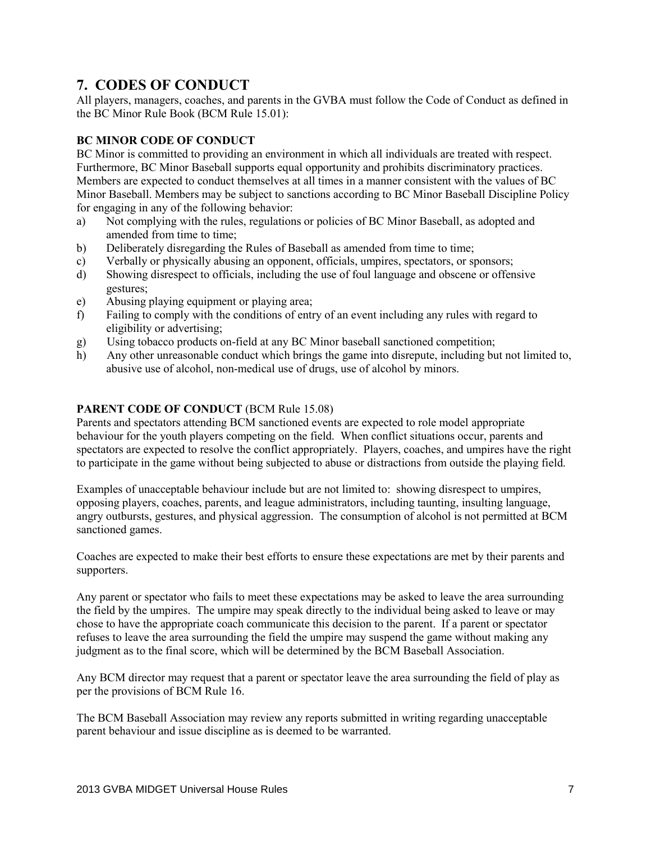# **7. CODES OF CONDUCT**

All players, managers, coaches, and parents in the GVBA must follow the Code of Conduct as defined in the BC Minor Rule Book (BCM Rule 15.01):

#### **BC MINOR CODE OF CONDUCT**

BC Minor is committed to providing an environment in which all individuals are treated with respect. Furthermore, BC Minor Baseball supports equal opportunity and prohibits discriminatory practices. Members are expected to conduct themselves at all times in a manner consistent with the values of BC Minor Baseball. Members may be subject to sanctions according to BC Minor Baseball Discipline Policy for engaging in any of the following behavior:

- a) Not complying with the rules, regulations or policies of BC Minor Baseball, as adopted and amended from time to time;
- b) Deliberately disregarding the Rules of Baseball as amended from time to time;
- c) Verbally or physically abusing an opponent, officials, umpires, spectators, or sponsors;
- d) Showing disrespect to officials, including the use of foul language and obscene or offensive gestures;
- e) Abusing playing equipment or playing area;
- f) Failing to comply with the conditions of entry of an event including any rules with regard to eligibility or advertising;
- g) Using tobacco products on-field at any BC Minor baseball sanctioned competition;
- h) Any other unreasonable conduct which brings the game into disrepute, including but not limited to, abusive use of alcohol, non-medical use of drugs, use of alcohol by minors.

#### **PARENT CODE OF CONDUCT (BCM Rule 15.08)**

Parents and spectators attending BCM sanctioned events are expected to role model appropriate behaviour for the youth players competing on the field. When conflict situations occur, parents and spectators are expected to resolve the conflict appropriately. Players, coaches, and umpires have the right to participate in the game without being subjected to abuse or distractions from outside the playing field.

Examples of unacceptable behaviour include but are not limited to: showing disrespect to umpires, opposing players, coaches, parents, and league administrators, including taunting, insulting language, angry outbursts, gestures, and physical aggression. The consumption of alcohol is not permitted at BCM sanctioned games.

Coaches are expected to make their best efforts to ensure these expectations are met by their parents and supporters.

Any parent or spectator who fails to meet these expectations may be asked to leave the area surrounding the field by the umpires. The umpire may speak directly to the individual being asked to leave or may chose to have the appropriate coach communicate this decision to the parent. If a parent or spectator refuses to leave the area surrounding the field the umpire may suspend the game without making any judgment as to the final score, which will be determined by the BCM Baseball Association.

Any BCM director may request that a parent or spectator leave the area surrounding the field of play as per the provisions of BCM Rule 16.

The BCM Baseball Association may review any reports submitted in writing regarding unacceptable parent behaviour and issue discipline as is deemed to be warranted.